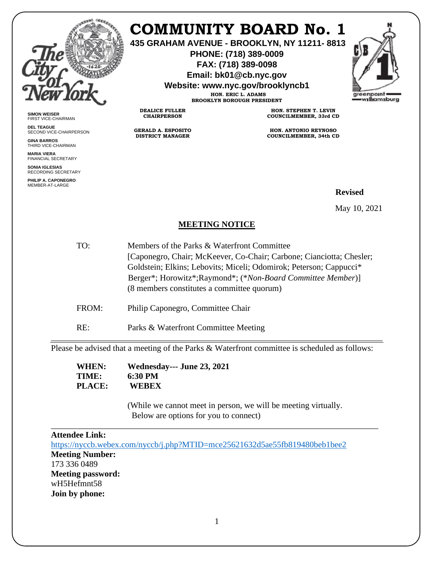

**SIMON WEISER** FIRST VICE-CHAIRMAN **DEL TEAGUE**

**GINA BARROS** THIRD VICE-CHAIRMAN **MARIA VIERA** FINANCIAL SECRETARY **SONIA IGLESIAS** RECORDING SECRETARY **PHILIP A. CAPONEGRO** MEMBER-AT-LARGE

SECOND VICE-CHAIRPERSON

# **COMMUNITY BOARD No. 1**

**435 GRAHAM AVENUE - BROOKLYN, NY 11211- 8813**

**PHONE: (718) 389-0009 FAX: (718) 389-0098**

**Email: bk01@cb.nyc.gov**

**Website: www.nyc.gov/brooklyncb1**



**HON. ERIC L. ADAMS BROOKLYN BOROUGH PRESIDENT**

**DEALICE FULLER CHAIRPERSON**

**GERALD A. ESPOSITO DISTRICT MANAGER**

**HON. STEPHEN T. LEVIN COUNCILMEMBER, 33rd CD**

**HON. ANTONIO REYNOSO COUNCILMEMBER, 34th CD**

## **Revised**

May 10, 2021

### **MEETING NOTICE**

- TO: Members of the Parks & Waterfront Committee [Caponegro, Chair; McKeever, Co-Chair; Carbone; Cianciotta; Chesler; Goldstein; Elkins; Lebovits; Miceli; Odomirok; Peterson; Cappucci\* Berger\*; Horowitz\*;Raymond\*; (\**Non-Board Committee Member*)] (8 members constitutes a committee quorum)
- FROM: Philip Caponegro, Committee Chair
- RE: Parks & Waterfront Committee Meeting

\_\_\_\_\_\_\_\_\_\_\_\_\_\_\_\_\_\_\_\_\_\_\_\_\_\_\_\_\_\_\_\_\_\_\_\_\_\_\_\_\_\_\_\_\_\_\_\_\_\_\_\_\_\_\_\_\_\_\_\_\_\_\_\_\_\_\_\_\_\_\_\_\_\_\_\_\_\_ Please be advised that a meeting of the Parks & Waterfront committee is scheduled as follows:

| WHEN:  | <b>Wednesday--- June 23, 2021</b> |
|--------|-----------------------------------|
| TIME:  | 6:30 PM                           |
| PLACE: | WEBEX                             |

(While we cannot meet in person, we will be meeting virtually. Below are options for you to connect)

### \_\_\_\_\_\_\_\_\_\_\_\_\_\_\_\_\_\_\_\_\_\_\_\_\_\_\_\_\_\_\_\_\_\_\_\_\_\_\_\_\_\_\_\_\_\_\_\_\_\_\_\_\_\_\_\_\_\_\_\_\_\_\_\_\_\_\_\_\_\_\_\_\_\_\_\_\_ **Attendee Link:** <https://nyccb.webex.com/nyccb/j.php?MTID=mce25621632d5ae55fb819480beb1bee2> **Meeting Number:**  173 336 0489 **Meeting password:**  wH5Hefmnt58 **Join by phone:**